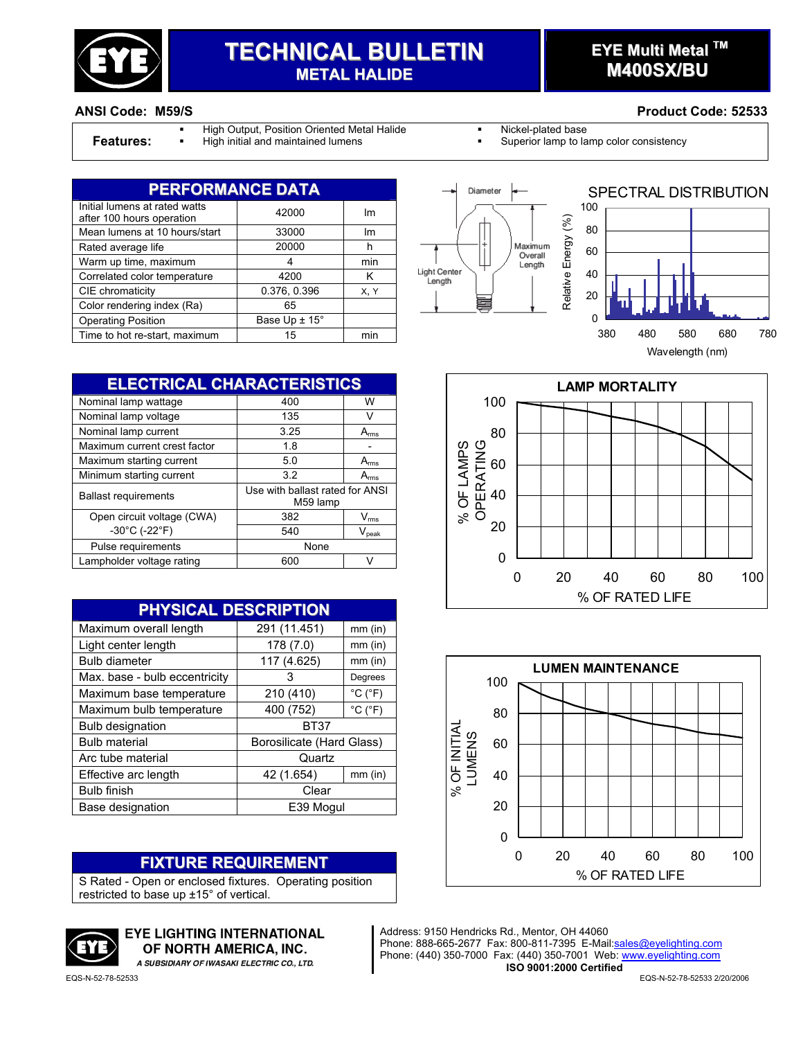

# **TECHNICAL BULLETIN METAL HALIDE**

# **EYE Multi Metal TM M400SX/BU**

#### **ANSI Code: M59/S Product Code: 52533**

High Output, Position Oriented Metal Halide **Nickel-plated base** 

- 
- **Features:** High initial and maintained lumens **Superior lamp to lamp color consistency Fig. 3** Superior lamp to lamp color consistency

| <b>PERFORMANCE DATA</b>                                    |                             |      |  |
|------------------------------------------------------------|-----------------------------|------|--|
| Initial lumens at rated watts<br>after 100 hours operation | 42000                       | lm   |  |
| Mean lumens at 10 hours/start                              | 33000                       | lm   |  |
| Rated average life                                         | 20000                       | h    |  |
| Warm up time, maximum                                      | 4                           | min  |  |
| Correlated color temperature                               | 4200                        | κ    |  |
| CIE chromaticity                                           | 0.376, 0.396                | X, Y |  |
| Color rendering index (Ra)                                 | 65                          |      |  |
| <b>Operating Position</b>                                  | Base Up $\pm$ 15 $^{\circ}$ |      |  |
| Time to hot re-start, maximum                              | 15                          | min  |  |





**ELECTRICAL CHARACTERISTICS** Nominal lamp wattage  $\overline{400}$  W Nominal lamp voltage 135 V Nominal lamp current 3.25 A<sub>rms</sub> Maximum current crest factor | 1.8 | -Maximum starting current 5.0 Arms Minimum starting current 3.2 Arms Ballast requirements Use with ballast rated for ANSI M59 lamp Open circuit voltage (CWA) 382 V<sub>rms</sub>  $-30^{\circ}$ C (-22 $^{\circ}$ F) 540 V<sub>peak</sub> Pulse requirements and a set of the None Lampholder voltage rating 600 V

| <b>PHYSICAL DESCRIPTION</b>   |                           |                              |  |
|-------------------------------|---------------------------|------------------------------|--|
| Maximum overall length        | 291 (11.451)              | $mm$ (in)                    |  |
| Light center length           | 178 (7.0)                 | $mm$ (in)                    |  |
| <b>Bulb diameter</b>          | 117 (4.625)               | $mm$ (in)                    |  |
| Max. base - bulb eccentricity | З                         | Degrees                      |  |
| Maximum base temperature      | 210 (410)                 | $^{\circ}$ C ( $^{\circ}$ F) |  |
| Maximum bulb temperature      | 400 (752)                 | $^{\circ}$ C ( $^{\circ}$ F) |  |
| <b>Bulb designation</b>       | <b>BT37</b>               |                              |  |
| <b>Bulb material</b>          | Borosilicate (Hard Glass) |                              |  |
| Arc tube material             | Quartz                    |                              |  |
| Effective arc length          | 42 (1.654)                | $mm$ (in)                    |  |
| <b>Bulb finish</b>            | Clear                     |                              |  |
| Base designation              | E39 Mogul                 |                              |  |

#### **FIXTURE REQUIREMENT**

S Rated - Open or enclosed fixtures. Operating position restricted to base up ±15° of vertical.



**EYE LIGHTING INTERNATIONAL** OF NORTH AMERICA. INC.

A SUBSIDIARY OF IWASAKI ELECTRIC CO., LTD.





Address: 9150 Hendricks Rd., Mentor, OH 44060 Phone: 888-665-2677 Fax: 800-811-7395 E-Mail: sales@eyelighting.com Phone: (440) 350-7000 Fax: (440) 350-7001 Web: www.eyelighting.com **ISO 9001:2000 Certified**